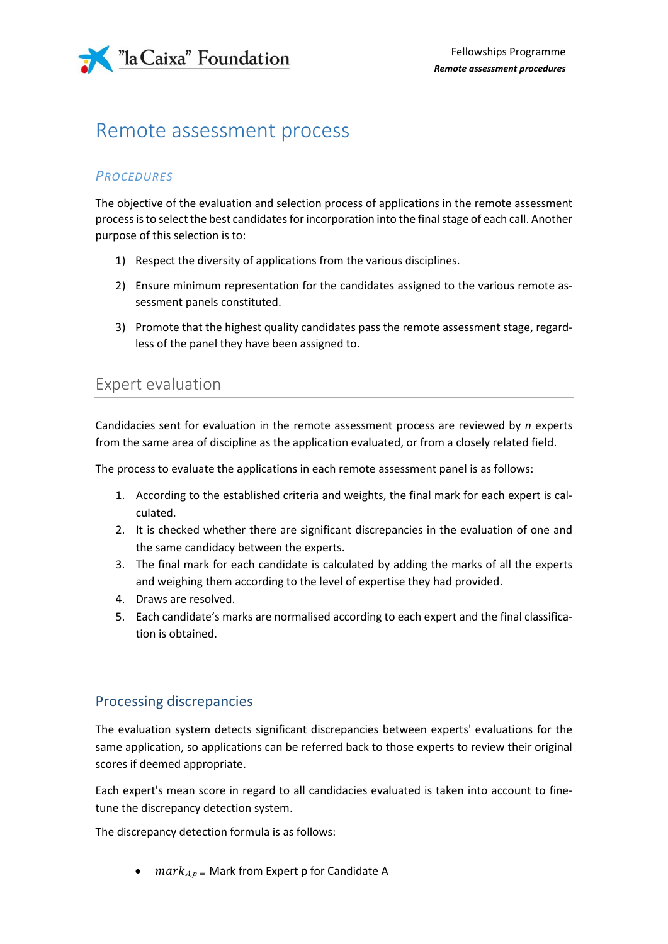

# Remote assessment process

### *PROCEDURES*

The objective of the evaluation and selection process of applications in the remote assessment processis to select the best candidates for incorporation into the final stage of each call. Another purpose of this selection is to:

- 1) Respect the diversity of applications from the various disciplines.
- 2) Ensure minimum representation for the candidates assigned to the various remote assessment panels constituted.
- 3) Promote that the highest quality candidates pass the remote assessment stage, regardless of the panel they have been assigned to.

### Expert evaluation

Candidacies sent for evaluation in the remote assessment process are reviewed by *n* experts from the same area of discipline as the application evaluated, or from a closely related field.

The process to evaluate the applications in each remote assessment panel is as follows:

- 1. According to the established criteria and weights, the final mark for each expert is calculated.
- 2. It is checked whether there are significant discrepancies in the evaluation of one and the same candidacy between the experts.
- 3. The final mark for each candidate is calculated by adding the marks of all the experts and weighing them according to the level of expertise they had provided.
- 4. Draws are resolved.
- 5. Each candidate's marks are normalised according to each expert and the final classification is obtained.

### Processing discrepancies

The evaluation system detects significant discrepancies between experts' evaluations for the same application, so applications can be referred back to those experts to review their original scores if deemed appropriate.

Each expert's mean score in regard to all candidacies evaluated is taken into account to finetune the discrepancy detection system.

The discrepancy detection formula is as follows:

•  $mark_{A,p}$  = Mark from Expert p for Candidate A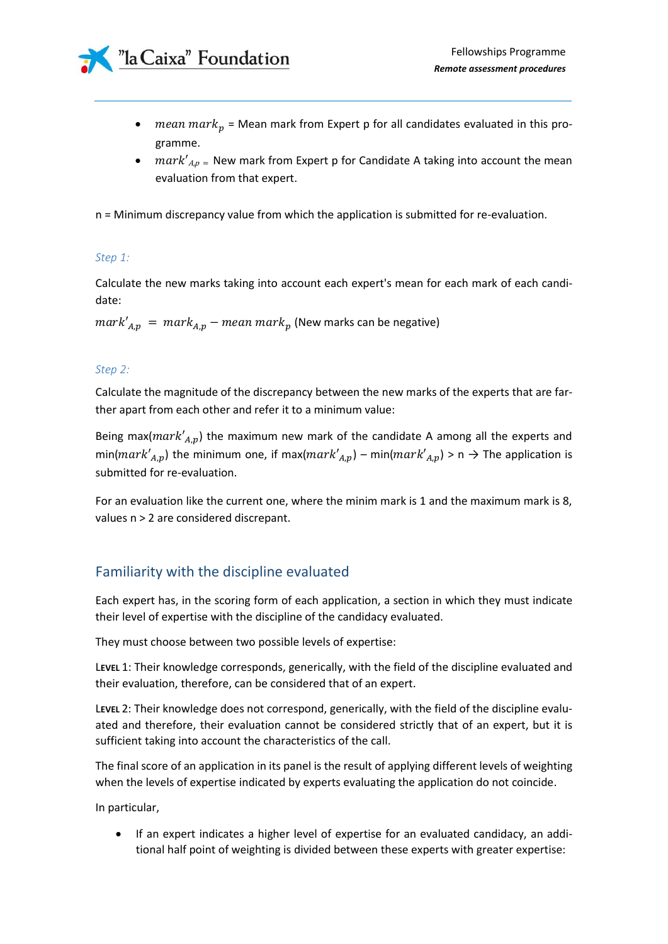

- *mean mark*<sub>p</sub> = Mean mark from Expert p for all candidates evaluated in this programme.
- $mark'_{A,p}$  = New mark from Expert p for Candidate A taking into account the mean evaluation from that expert.

n = Minimum discrepancy value from which the application is submitted for re-evaluation.

#### *Step 1:*

Calculate the new marks taking into account each expert's mean for each mark of each candidate:

 $mark'_{A,p} = mark_{A,p} - mean\,mark_p$  (New marks can be negative)

#### *Step 2:*

Calculate the magnitude of the discrepancy between the new marks of the experts that are farther apart from each other and refer it to a minimum value:

Being max( $mark'_{A,p}$ ) the maximum new mark of the candidate A among all the experts and min( $mark'_{A,p}$ ) the minimum one, if max( $mark'_{A,p}$ ) – min( $mark'_{A,p}$ ) > n  $\rightarrow$  The application is submitted for re-evaluation.

For an evaluation like the current one, where the minim mark is 1 and the maximum mark is 8, values n > 2 are considered discrepant.

### Familiarity with the discipline evaluated

Each expert has, in the scoring form of each application, a section in which they must indicate their level of expertise with the discipline of the candidacy evaluated.

They must choose between two possible levels of expertise:

L**EVEL** 1: Their knowledge corresponds, generically, with the field of the discipline evaluated and their evaluation, therefore, can be considered that of an expert.

L**EVEL** 2: Their knowledge does not correspond, generically, with the field of the discipline evaluated and therefore, their evaluation cannot be considered strictly that of an expert, but it is sufficient taking into account the characteristics of the call.

The final score of an application in its panel is the result of applying different levels of weighting when the levels of expertise indicated by experts evaluating the application do not coincide.

In particular,

• If an expert indicates a higher level of expertise for an evaluated candidacy, an additional half point of weighting is divided between these experts with greater expertise: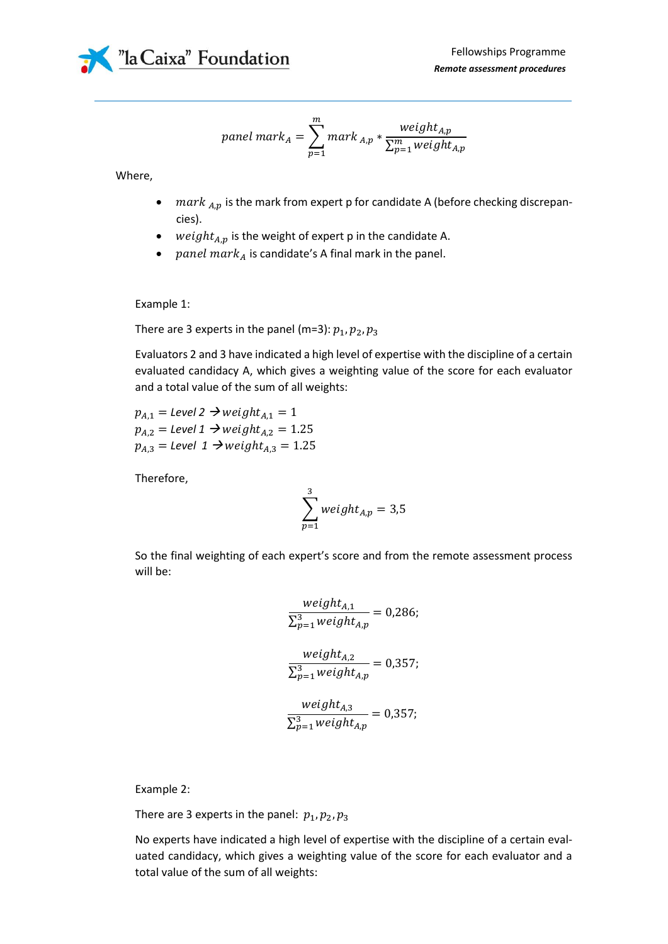

$$
panel\ mark_A = \sum_{p=1}^{m} mark_{A,p} * \frac weight_{A,p}}{\sum_{p=1}^{m} weight_{A,p}}
$$

Where,

- $mark$ <sub>A,p</sub> is the mark from expert p for candidate A (before checking discrepancies).
- weight $_{A,p}$  is the weight of expert p in the candidate A.
- panel mar $k_A$  is candidate's A final mark in the panel.

Example 1:

There are 3 experts in the panel (m=3):  $p_1, p_2, p_3$ 

Evaluators 2 and 3 have indicated a high level of expertise with the discipline of a certain evaluated candidacy A, which gives a weighting value of the score for each evaluator and a total value of the sum of all weights:

 $p_{A,1} =$  *Level 2*  $\rightarrow$  *weight*<sub> $A,1$ </sub> = 1  $p_{A,2} =$  *Level 1*  $\rightarrow$  *weight*<sub> $A,2$ </sub> = 1.25  $p_{A,3}$  = Level 1  $\rightarrow$  weight<sub>A,3</sub> = 1.25

Therefore,

$$
\sum_{p=1}^{3} weight_{A,p} = 3.5
$$

So the final weighting of each expert's score and from the remote assessment process will be:

$$
\frac{weight_{A,1}}{\sum_{p=1}^{3} weight_{A,p}} = 0,286;
$$
\n
$$
\frac{weight_{A,2}}{\sum_{p=1}^{3} weight_{A,p}} = 0,357;
$$
\n
$$
\frac{weight_{A,3}}{\sum_{p=1}^{3} weight_{A,p}} = 0,357;
$$

Example 2:

There are 3 experts in the panel:  $p_1, p_2, p_3$ 

No experts have indicated a high level of expertise with the discipline of a certain evaluated candidacy, which gives a weighting value of the score for each evaluator and a total value of the sum of all weights: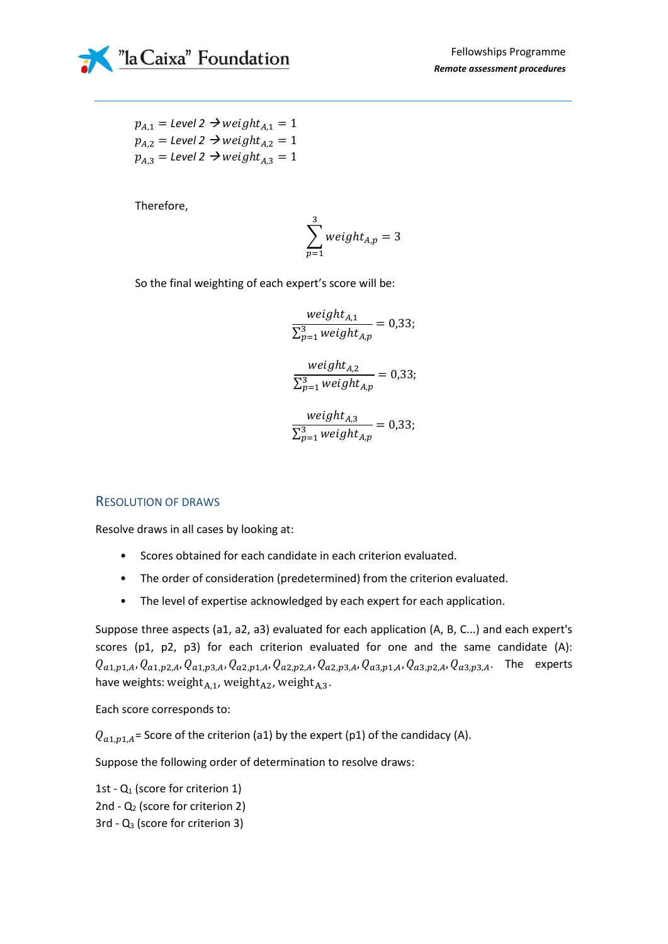

 $p_{A,1} =$  *Level* 2  $\rightarrow$  *weight*<sub> $A,1$ </sub> = 1  $p_{A,2} =$  *Level 2*  $\rightarrow$  *weight*<sub> $A,2$ </sub> = 1  $p_{A,3} =$  *Level* 2  $\rightarrow$  *weight*<sub> $A,3$ </sub> = 1

Therefore,

$$
\sum_{p=1}^{3} weight_{A,p} = 3
$$

So the final weighting of each expert's score will be:

weight $_{\rm A,1}$  $\Sigma_{p=1}^3$  weight  $_{A,p}$  $= 0.33;$ weight $_{\rm A,2}$  $\sum_{p=1}^3$  weight  $_{A,p}$  $= 0.33;$ weight $_{A,3}$  $\Sigma_{p=1}^3$  weight  $_{A,p}$  $= 0.33;$ 

### RESOLUTION OF DRAWS

Resolve draws in all cases by looking at:

- Scores obtained for each candidate in each criterion evaluated.
- The order of consideration (predetermined) from the criterion evaluated.
- The level of expertise acknowledged by each expert for each application.

Suppose three aspects (a1, a2, a3) evaluated for each application (A, B, C...) and each expert's scores (p1, p2, p3) for each criterion evaluated for one and the same candidate (A):  $Q_{a1,p1,A}, Q_{a1,p2,A}, Q_{a1,p3,A}, Q_{a2,p1,A}, Q_{a2,p2,A}, Q_{a2,p3,A}, Q_{a3,p1,A}, Q_{a3,p2,A}, Q_{a3,p3,A}$ . The experts have weights: weight $A_{A,1}$ , weight $A_{A,2}$ , weight $A_{A,3}$ .

Each score corresponds to:

 $Q_{a1,p1,A}$ = Score of the criterion (a1) by the expert (p1) of the candidacy (A).

Suppose the following order of determination to resolve draws:

1st -  $Q_1$  (score for criterion 1) 2nd - Q<sub>2</sub> (score for criterion 2)  $3rd - Q<sub>3</sub>$  (score for criterion 3)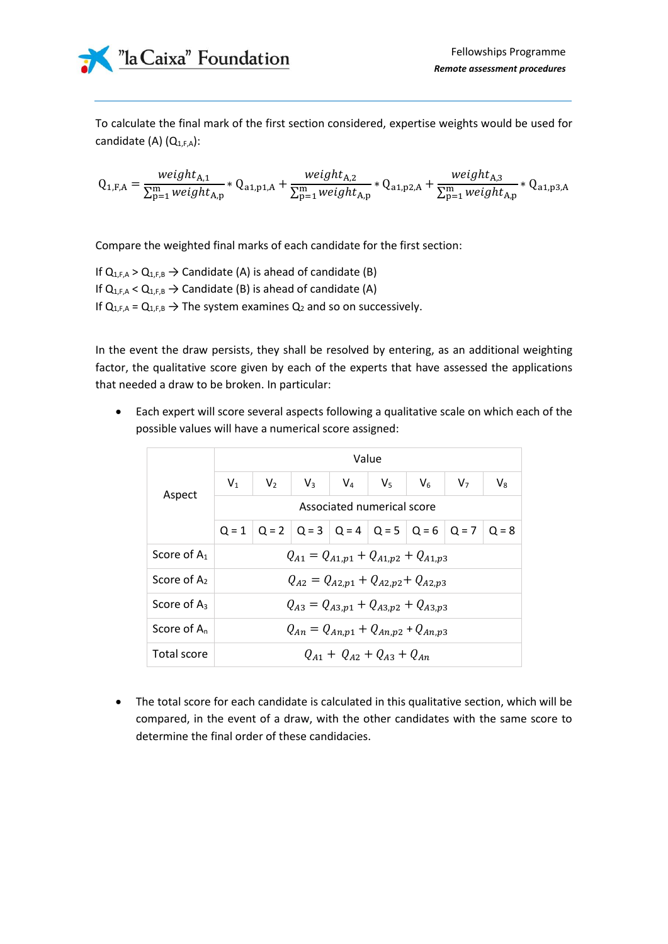

To calculate the final mark of the first section considered, expertise weights would be used for candidate (A)  $(Q_{1,F,A})$ :

$$
Q_{1,F,A} = \frac{weight_{A,1}}{\sum_{p=1}^{m} weight_{A,p}} * Q_{a1,p1,A} + \frac{weight_{A,2}}{\sum_{p=1}^{m} weight_{A,p}} * Q_{a1,p2,A} + \frac{weight_{A,3}}{\sum_{p=1}^{m} weight_{A,p}} * Q_{a1,p3,A}
$$

Compare the weighted final marks of each candidate for the first section:

If  $Q_{1,F,A} > Q_{1,F,B} \rightarrow$  Candidate (A) is ahead of candidate (B) If  $Q_{1,F,A} < Q_{1,F,B} \rightarrow$  Candidate (B) is ahead of candidate (A) If  $Q_{1,F,A} = Q_{1,F,B} \rightarrow$  The system examines  $Q_2$  and so on successively.

In the event the draw persists, they shall be resolved by entering, as an additional weighting factor, the qualitative score given by each of the experts that have assessed the applications that needed a draw to be broken. In particular:

• Each expert will score several aspects following a qualitative scale on which each of the possible values will have a numerical score assigned:

|                | Value                                        |       |                                                                 |             |       |         |                |             |
|----------------|----------------------------------------------|-------|-----------------------------------------------------------------|-------------|-------|---------|----------------|-------------|
|                | $V_1$                                        | $V_2$ | $V_3$                                                           | $V_{\rm A}$ | $V_5$ | $V_{6}$ | V <sub>7</sub> | $V_{\rm R}$ |
| Aspect         | Associated numerical score                   |       |                                                                 |             |       |         |                |             |
|                |                                              |       | $Q = 1$   Q = 2   Q = 3   Q = 4   Q = 5   Q = 6   Q = 7   Q = 8 |             |       |         |                |             |
| Score of $A_1$ | $Q_{A1} = Q_{A1,p1} + Q_{A1,p2} + Q_{A1,p3}$ |       |                                                                 |             |       |         |                |             |
| Score of $A_2$ | $Q_{A2} = Q_{A2,p1} + Q_{A2,p2} + Q_{A2,p3}$ |       |                                                                 |             |       |         |                |             |
| Score of $A_3$ | $Q_{A3} = Q_{A3,p1} + Q_{A3,p2} + Q_{A3,p3}$ |       |                                                                 |             |       |         |                |             |
| Score of $A_n$ | $Q_{An} = Q_{An,p1} + Q_{An,p2} + Q_{An,p3}$ |       |                                                                 |             |       |         |                |             |
| Total score    | $Q_{A1} + Q_{A2} + Q_{A3} + Q_{An}$          |       |                                                                 |             |       |         |                |             |

• The total score for each candidate is calculated in this qualitative section, which will be compared, in the event of a draw, with the other candidates with the same score to determine the final order of these candidacies.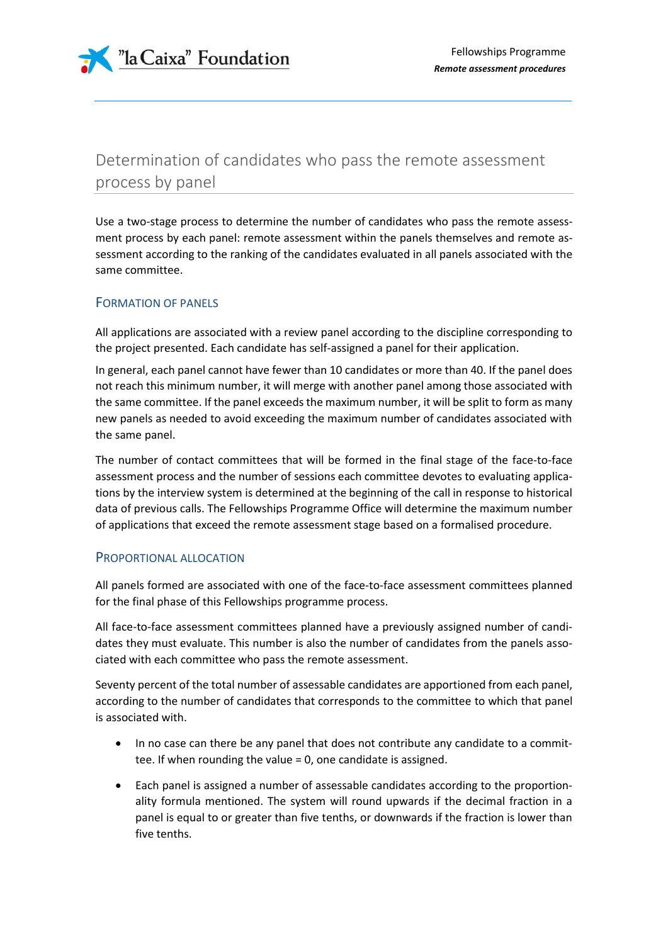

# Determination of candidates who pass the remote assessment process by panel

Use a two-stage process to determine the number of candidates who pass the remote assessment process by each panel: remote assessment within the panels themselves and remote assessment according to the ranking of the candidates evaluated in all panels associated with the same committee.

### FORMATION OF PANELS

All applications are associated with a review panel according to the discipline corresponding to the project presented. Each candidate has self-assigned a panel for their application.

In general, each panel cannot have fewer than 10 candidates or more than 40. If the panel does not reach this minimum number, it will merge with another panel among those associated with the same committee. If the panel exceeds the maximum number, it will be split to form as many new panels as needed to avoid exceeding the maximum number of candidates associated with the same panel.

The number of contact committees that will be formed in the final stage of the face-to-face assessment process and the number of sessions each committee devotes to evaluating applications by the interview system is determined at the beginning of the call in response to historical data of previous calls. The Fellowships Programme Office will determine the maximum number of applications that exceed the remote assessment stage based on a formalised procedure.

### PROPORTIONAL ALLOCATION

All panels formed are associated with one of the face-to-face assessment committees planned for the final phase of this Fellowships programme process.

All face-to-face assessment committees planned have a previously assigned number of candidates they must evaluate. This number is also the number of candidates from the panels associated with each committee who pass the remote assessment.

Seventy percent of the total number of assessable candidates are apportioned from each panel, according to the number of candidates that corresponds to the committee to which that panel is associated with.

- In no case can there be any panel that does not contribute any candidate to a committee. If when rounding the value = 0, one candidate is assigned.
- Each panel is assigned a number of assessable candidates according to the proportionality formula mentioned. The system will round upwards if the decimal fraction in a panel is equal to or greater than five tenths, or downwards if the fraction is lower than five tenths.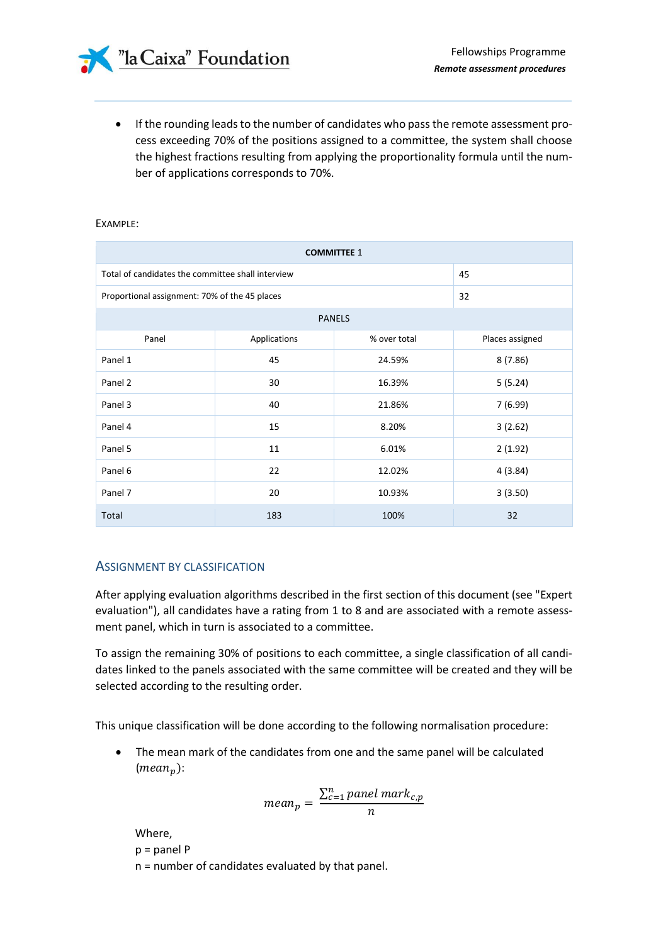• If the rounding leads to the number of candidates who pass the remote assessment process exceeding 70% of the positions assigned to a committee, the system shall choose the highest fractions resulting from applying the proportionality formula until the number of applications corresponds to 70%.

#### EXAMPLE:

| <b>COMMITTEE 1</b>                                |              |              |                 |  |  |
|---------------------------------------------------|--------------|--------------|-----------------|--|--|
| Total of candidates the committee shall interview | 45           |              |                 |  |  |
| Proportional assignment: 70% of the 45 places     | 32           |              |                 |  |  |
| <b>PANELS</b>                                     |              |              |                 |  |  |
| Panel                                             | Applications | % over total | Places assigned |  |  |
| Panel 1                                           | 45           | 24.59%       | 8 (7.86)        |  |  |
| Panel 2                                           | 30           | 16.39%       | 5 (5.24)        |  |  |
| Panel 3                                           | 40           | 21.86%       | 7 (6.99)        |  |  |
| Panel 4                                           | 15           | 8.20%        | 3(2.62)         |  |  |
| Panel 5                                           | 11           | 6.01%        | 2(1.92)         |  |  |
| Panel 6                                           | 22           | 12.02%       | 4 (3.84)        |  |  |
| Panel 7                                           | 20           | 10.93%       | 3(3.50)         |  |  |
| Total                                             | 183          | 100%         | 32              |  |  |

### ASSIGNMENT BY CLASSIFICATION

After applying evaluation algorithms described in the first section of this document (see "Expert evaluation"), all candidates have a rating from 1 to 8 and are associated with a remote assessment panel, which in turn is associated to a committee.

To assign the remaining 30% of positions to each committee, a single classification of all candidates linked to the panels associated with the same committee will be created and they will be selected according to the resulting order.

This unique classification will be done according to the following normalisation procedure:

The mean mark of the candidates from one and the same panel will be calculated  $(mean_n):$ 

$$
mean_p = \frac{\sum_{c=1}^{n} panel\ mark_{c,p}}{n}
$$

Where, p = panel P n = number of candidates evaluated by that panel.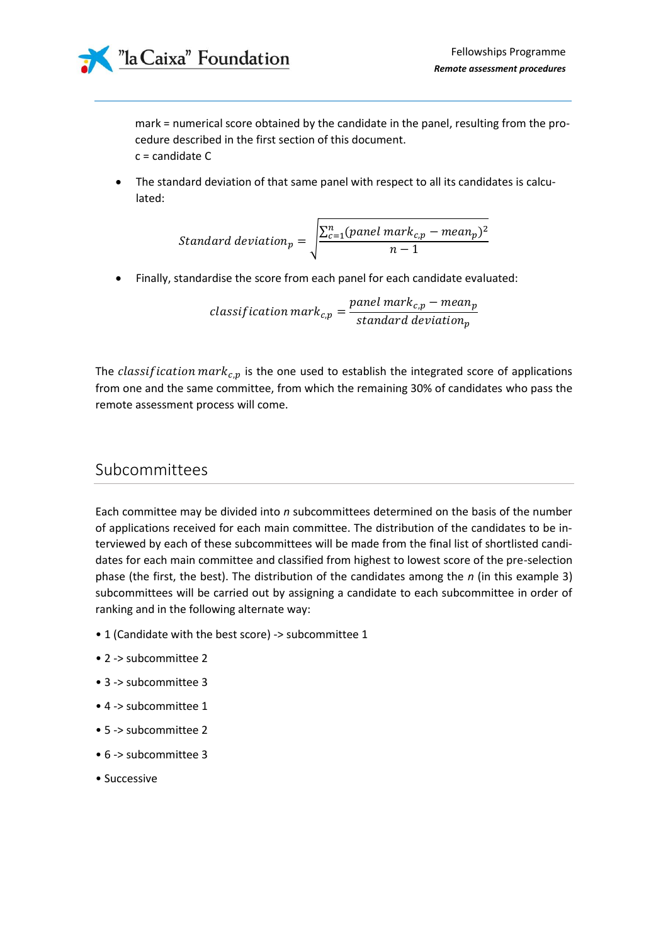

mark = numerical score obtained by the candidate in the panel, resulting from the procedure described in the first section of this document. c = candidate C

• The standard deviation of that same panel with respect to all its candidates is calculated:

Standard deviation<sub>p</sub> = 
$$
\sqrt{\frac{\sum_{c=1}^{n}(panel\ mark_{c,p} - mean_p)^2}{n-1}}
$$

• Finally, standardise the score from each panel for each candidate evaluated:

classification mar $k_{c,p}=$  $p$ anel mar $k_{c,p}-m e a n_p\,$ standard deviation $_{p}$ 

The *classification*  $mark_{c,p}$  is the one used to establish the integrated score of applications from one and the same committee, from which the remaining 30% of candidates who pass the remote assessment process will come.

### Subcommittees

Each committee may be divided into *n* subcommittees determined on the basis of the number of applications received for each main committee. The distribution of the candidates to be interviewed by each of these subcommittees will be made from the final list of shortlisted candidates for each main committee and classified from highest to lowest score of the pre-selection phase (the first, the best). The distribution of the candidates among the *n* (in this example 3) subcommittees will be carried out by assigning a candidate to each subcommittee in order of ranking and in the following alternate way:

- 1 (Candidate with the best score) -> subcommittee 1
- 2 -> subcommittee 2
- 3 -> subcommittee 3
- 4 -> subcommittee 1
- 5 -> subcommittee 2
- 6 -> subcommittee 3
- Successive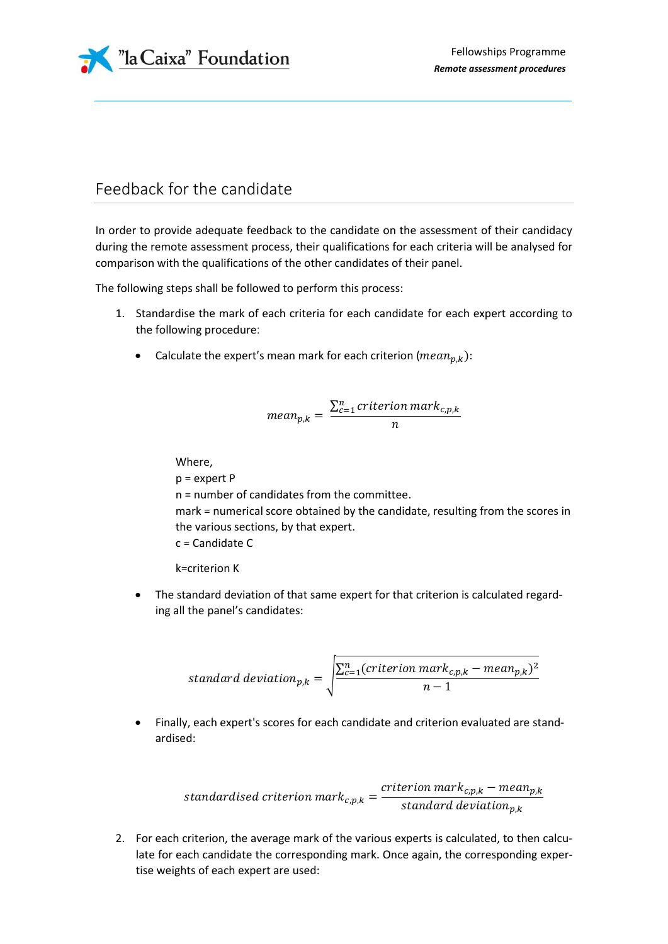

# Feedback for the candidate

In order to provide adequate feedback to the candidate on the assessment of their candidacy during the remote assessment process, their qualifications for each criteria will be analysed for comparison with the qualifications of the other candidates of their panel.

The following steps shall be followed to perform this process:

- 1. Standardise the mark of each criteria for each candidate for each expert according to the following procedure:
	- Calculate the expert's mean mark for each criterion ( $mean_{p,k}$ ):

$$
mean_{p,k} = \frac{\sum_{c=1}^{n} criterion \, mark_{c,p,k}}{n}
$$

Where,

p = expert P n = number of candidates from the committee. mark = numerical score obtained by the candidate, resulting from the scores in the various sections, by that expert. c = Candidate C

k=criterion K

• The standard deviation of that same expert for that criterion is calculated regarding all the panel's candidates:

$$
standard \ deviation_{p,k} = \sqrt{\frac{\sum_{c=1}^{n} (criterion \ mark_{c,p,k} - mean_{p,k})^2}{n-1}}
$$

• Finally, each expert's scores for each candidate and criterion evaluated are standardised:

$$
standardised criterion mark_{c,p,k} = \frac{criterion\ mark_{c,p,k} - mean_{p,k}}{standard\ deviation_{p,k}}
$$

2. For each criterion, the average mark of the various experts is calculated, to then calculate for each candidate the corresponding mark. Once again, the corresponding expertise weights of each expert are used: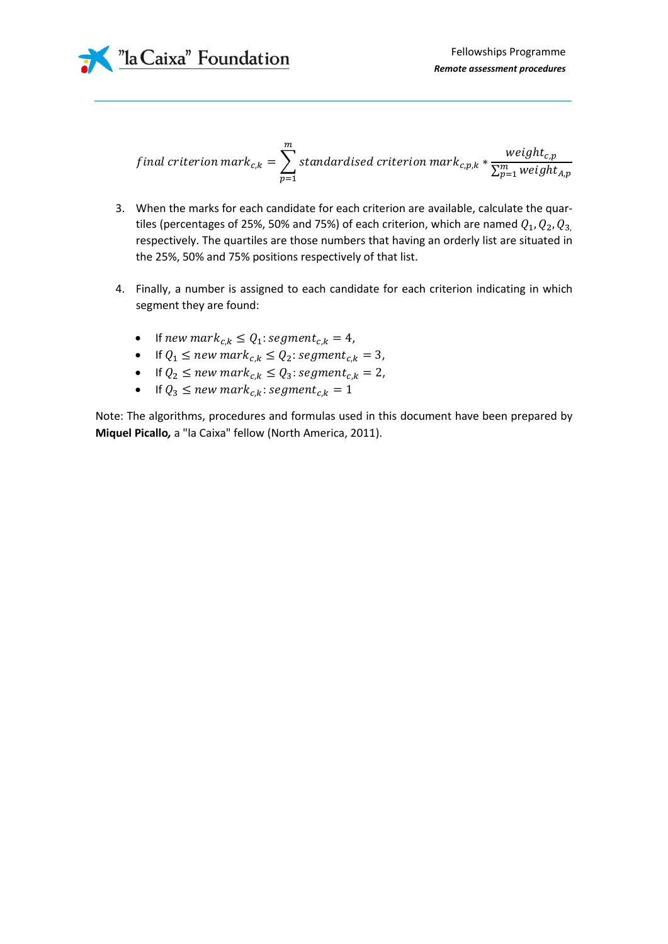

$$
final criterion mark_{c,k} = \sum_{p=1}^{m} standardised criterion mark_{c,p,k} * \frac{weight_{c,p}}{\sum_{p=1}^{m} weight_{A,p}}
$$

- 3. When the marks for each candidate for each criterion are available, calculate the quartiles (percentages of 25%, 50% and 75%) of each criterion, which are named  $Q_1,Q_2,Q_3$ respectively. The quartiles are those numbers that having an orderly list are situated in the 25%, 50% and 75% positions respectively of that list.
- 4. Finally, a number is assigned to each candidate for each criterion indicating in which segment they are found:
	- If new mark<sub>c,k</sub>  $\leq Q_1$ : segment<sub>c,k</sub> = 4,
	- If  $Q_1 \leq new \, mark_{c,k} \leq Q_2$ : segment<sub>c,k</sub> = 3,
	- If  $Q_2 \leq new \, mark_{c,k} \leq Q_3$ : segment<sub>c,k</sub> = 2,
	- If  $Q_3 \leq new \, mark_{c,k}$ : segment<sub>c,k</sub> = 1

Note: The algorithms, procedures and formulas used in this document have been prepared by **Miquel Picallo***,* a "la Caixa" fellow (North America, 2011).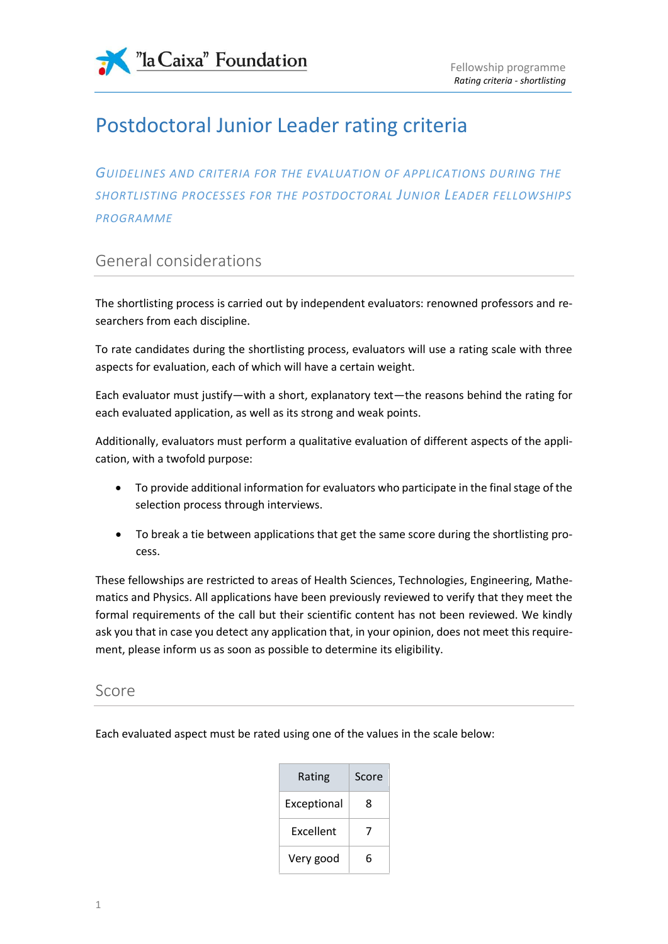

# Postdoctoral Junior Leader rating criteria

*GUIDELINES AND CRITERIA FOR THE EVALUATION OF APPLICATIONS DURING THE SHORTLISTING PROCESSES FOR THE POSTDOCTORAL JUNIOR LEADER FELLOWSHIPS PROGRAMME*

# General considerations

The shortlisting process is carried out by independent evaluators: renowned professors and researchers from each discipline.

To rate candidates during the shortlisting process, evaluators will use a rating scale with three aspects for evaluation, each of which will have a certain weight.

Each evaluator must justify—with a short, explanatory text—the reasons behind the rating for each evaluated application, as well as its strong and weak points.

Additionally, evaluators must perform a qualitative evaluation of different aspects of the application, with a twofold purpose:

- To provide additional information for evaluators who participate in the final stage of the selection process through interviews.
- To break a tie between applications that get the same score during the shortlisting process.

These fellowships are restricted to areas of Health Sciences, Technologies, Engineering, Mathematics and Physics. All applications have been previously reviewed to verify that they meet the formal requirements of the call but their scientific content has not been reviewed. We kindly ask you that in case you detect any application that, in your opinion, does not meet this requirement, please inform us as soon as possible to determine its eligibility.

### Score

Each evaluated aspect must be rated using one of the values in the scale below:

| Rating           | Score |
|------------------|-------|
| Exceptional      | 8     |
| <b>Fxcellent</b> | 7     |
| Very good        | 6     |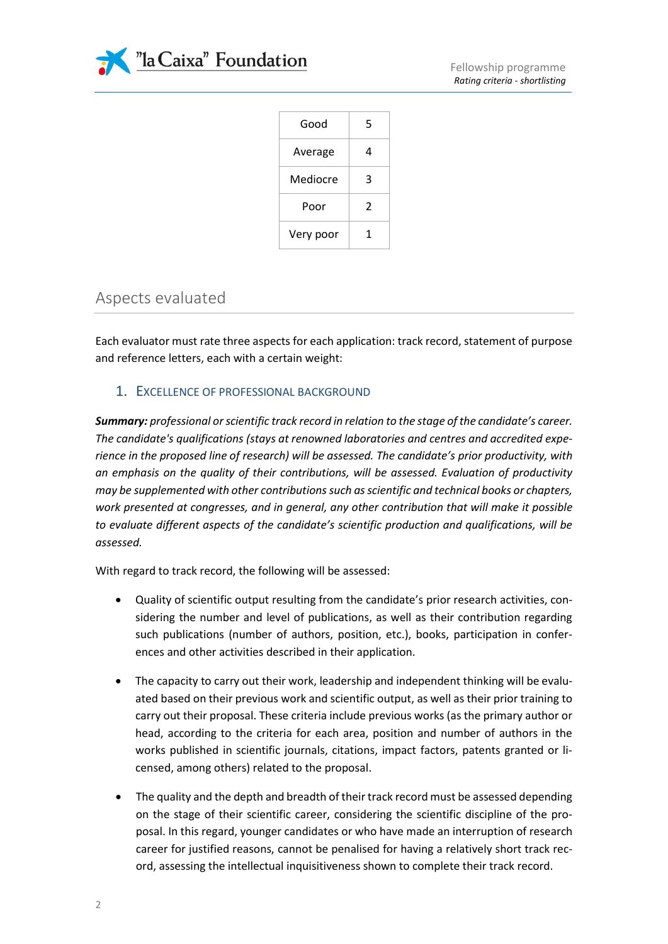

| Good      | 5 |
|-----------|---|
| Average   | 4 |
| Mediocre  | 3 |
| Poor      | 2 |
| Very poor | 1 |
|           |   |

# Aspects evaluated

Each evaluator must rate three aspects for each application: track record, statement of purpose and reference letters, each with a certain weight:

### 1. EXCELLENCE OF PROFESSIONAL BACKGROUND

*Summary: professional or scientific track record in relation to the stage of the candidate's career. The candidate's qualifications (stays at renowned laboratories and centres and accredited experience in the proposed line of research) will be assessed. The candidate's prior productivity, with an emphasis on the quality of their contributions, will be assessed. Evaluation of productivity may be supplemented with other contributions such as scientific and technical books or chapters, work presented at congresses, and in general, any other contribution that will make it possible to evaluate different aspects of the candidate's scientific production and qualifications, will be assessed.*

With regard to track record, the following will be assessed:

- Quality of scientific output resulting from the candidate's prior research activities, considering the number and level of publications, as well as their contribution regarding such publications (number of authors, position, etc.), books, participation in conferences and other activities described in their application.
- The capacity to carry out their work, leadership and independent thinking will be evaluated based on their previous work and scientific output, as well as their prior training to carry out their proposal. These criteria include previous works (as the primary author or head, according to the criteria for each area, position and number of authors in the works published in scientific journals, citations, impact factors, patents granted or licensed, among others) related to the proposal.
- The quality and the depth and breadth of their track record must be assessed depending on the stage of their scientific career, considering the scientific discipline of the proposal. In this regard, younger candidates or who have made an interruption of research career for justified reasons, cannot be penalised for having a relatively short track record, assessing the intellectual inquisitiveness shown to complete their track record.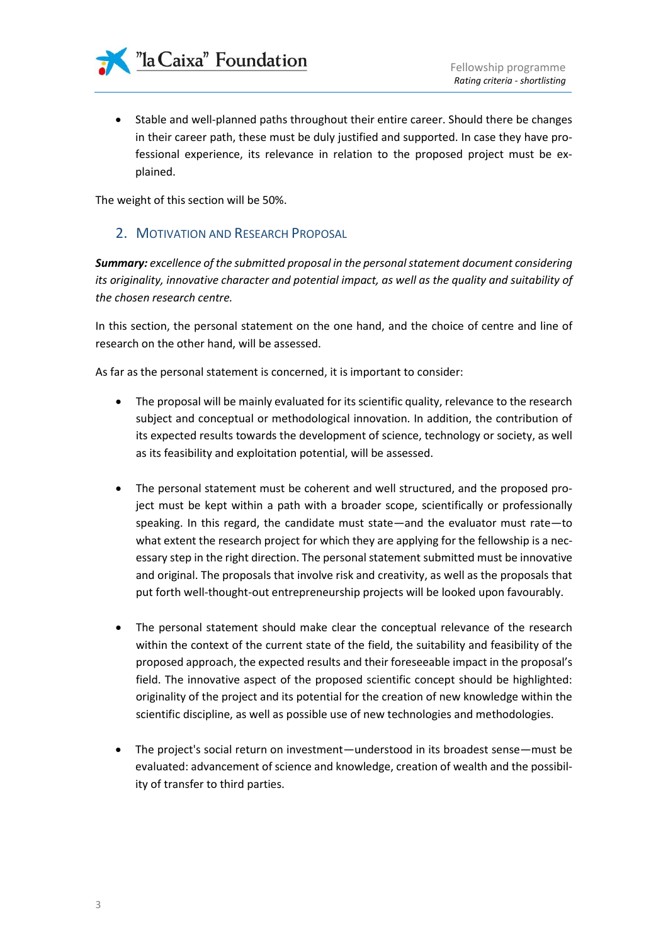

• Stable and well-planned paths throughout their entire career. Should there be changes in their career path, these must be duly justified and supported. In case they have professional experience, its relevance in relation to the proposed project must be explained.

The weight of this section will be 50%.

### 2. MOTIVATION AND RESEARCH PROPOSAL

*Summary: excellence of the submitted proposal in the personal statement document considering its originality, innovative character and potential impact, as well as the quality and suitability of the chosen research centre.*

In this section, the personal statement on the one hand, and the choice of centre and line of research on the other hand, will be assessed.

As far as the personal statement is concerned, it is important to consider:

- The proposal will be mainly evaluated for its scientific quality, relevance to the research subject and conceptual or methodological innovation. In addition, the contribution of its expected results towards the development of science, technology or society, as well as its feasibility and exploitation potential, will be assessed.
- The personal statement must be coherent and well structured, and the proposed project must be kept within a path with a broader scope, scientifically or professionally speaking. In this regard, the candidate must state—and the evaluator must rate—to what extent the research project for which they are applying for the fellowship is a necessary step in the right direction. The personal statement submitted must be innovative and original. The proposals that involve risk and creativity, as well as the proposals that put forth well-thought-out entrepreneurship projects will be looked upon favourably.
- The personal statement should make clear the conceptual relevance of the research within the context of the current state of the field, the suitability and feasibility of the proposed approach, the expected results and their foreseeable impact in the proposal's field. The innovative aspect of the proposed scientific concept should be highlighted: originality of the project and its potential for the creation of new knowledge within the scientific discipline, as well as possible use of new technologies and methodologies.
- The project's social return on investment—understood in its broadest sense—must be evaluated: advancement of science and knowledge, creation of wealth and the possibility of transfer to third parties.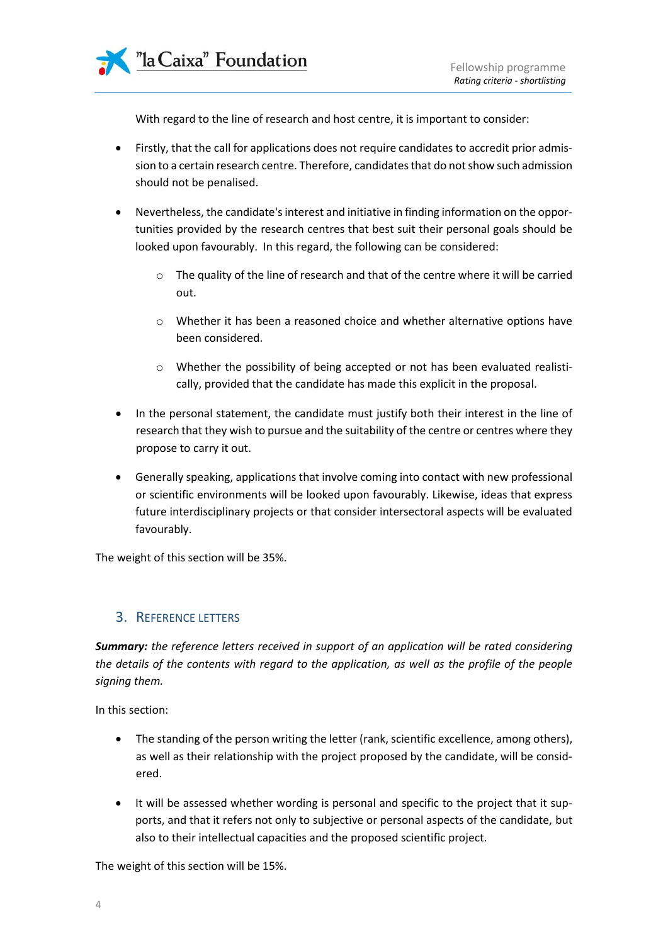

With regard to the line of research and host centre, it is important to consider:

- Firstly, that the call for applications does not require candidates to accredit prior admission to a certain research centre. Therefore, candidates that do not show such admission should not be penalised.
- Nevertheless, the candidate's interest and initiative in finding information on the opportunities provided by the research centres that best suit their personal goals should be looked upon favourably. In this regard, the following can be considered:
	- o The quality of the line of research and that of the centre where it will be carried out.
	- o Whether it has been a reasoned choice and whether alternative options have been considered.
	- o Whether the possibility of being accepted or not has been evaluated realistically, provided that the candidate has made this explicit in the proposal.
- In the personal statement, the candidate must justify both their interest in the line of research that they wish to pursue and the suitability of the centre or centres where they propose to carry it out.
- Generally speaking, applications that involve coming into contact with new professional or scientific environments will be looked upon favourably. Likewise, ideas that express future interdisciplinary projects or that consider intersectoral aspects will be evaluated favourably.

The weight of this section will be 35%.

### 3. REFERENCE LETTERS

*Summary: the reference letters received in support of an application will be rated considering the details of the contents with regard to the application, as well as the profile of the people signing them.* 

In this section:

- The standing of the person writing the letter (rank, scientific excellence, among others), as well as their relationship with the project proposed by the candidate, will be considered.
- It will be assessed whether wording is personal and specific to the project that it supports, and that it refers not only to subjective or personal aspects of the candidate, but also to their intellectual capacities and the proposed scientific project.

The weight of this section will be 15%.